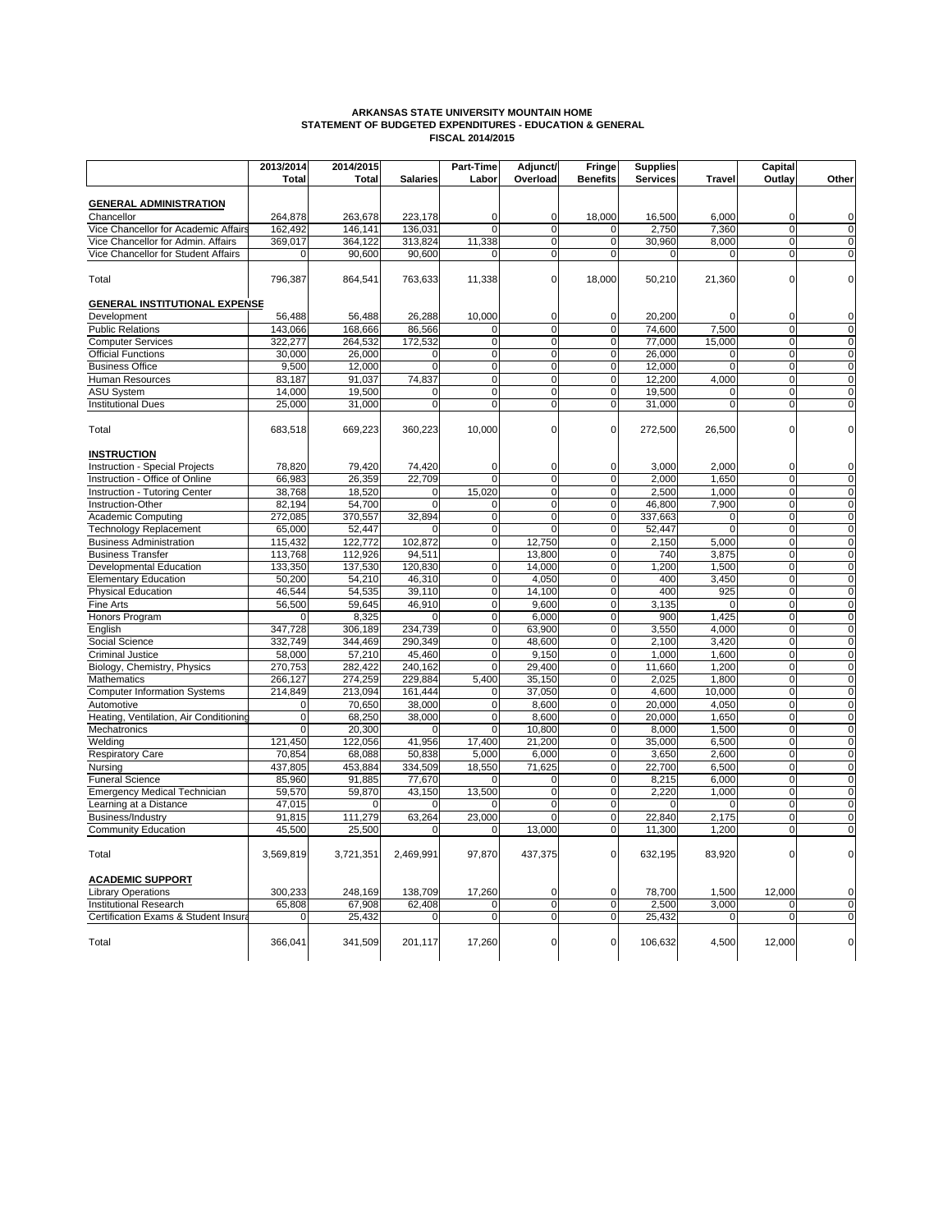

 **OPERATING BUDGET FISCAL YEAR 2014/2015**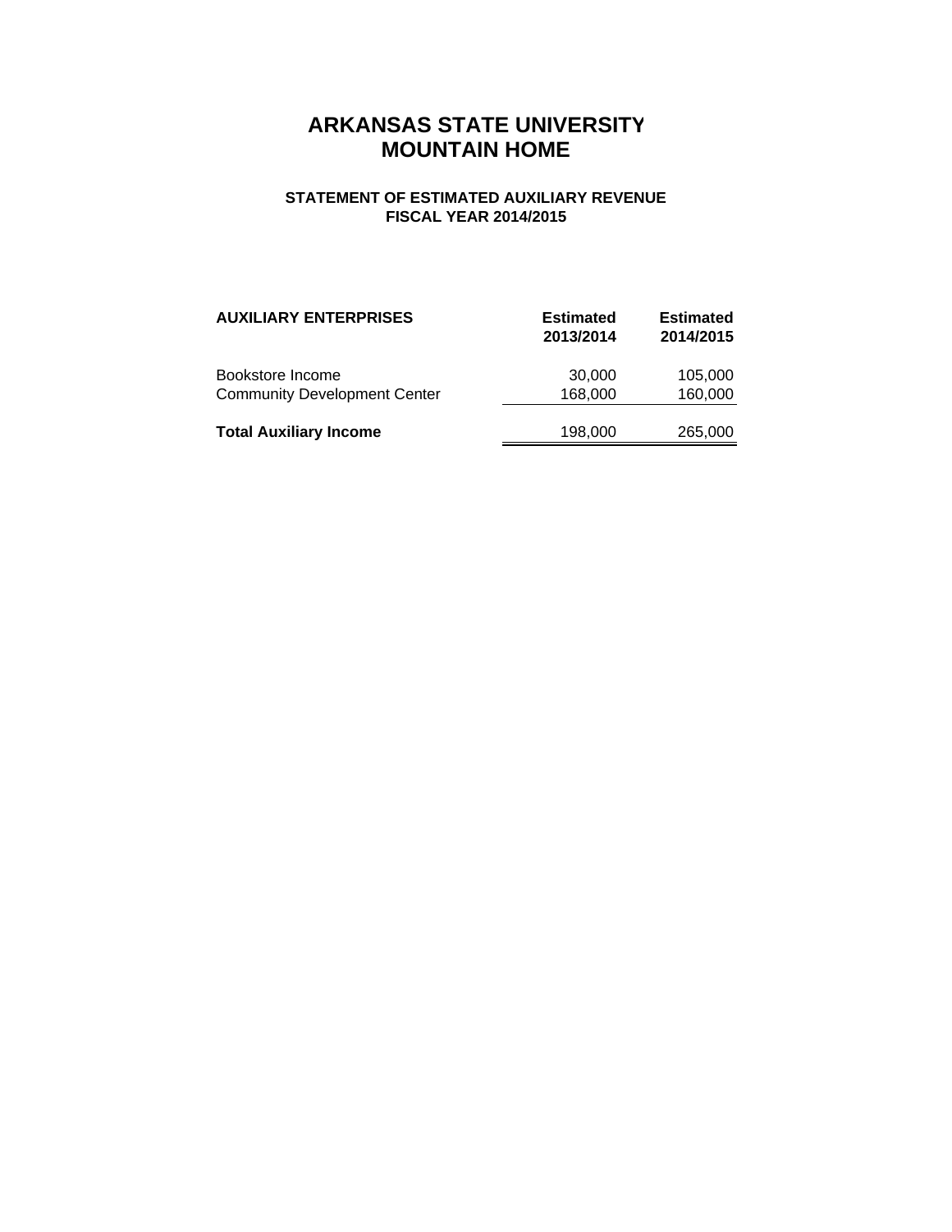#### **BOARD OF TRUSTEES**

Mr. Dan Pierce, Chair – Jonesboro Mr. Charles Luter, Vice Chair – Paragould Mr. Howard Slinkard, Secretary – Rogers Mr. Ron Rhodes – Cherokee Village Dr. Tim Langford – Osceola

#### **OFFICERS**

Dr. Charles Welch, President Dr. Robin Myers, Chancellor